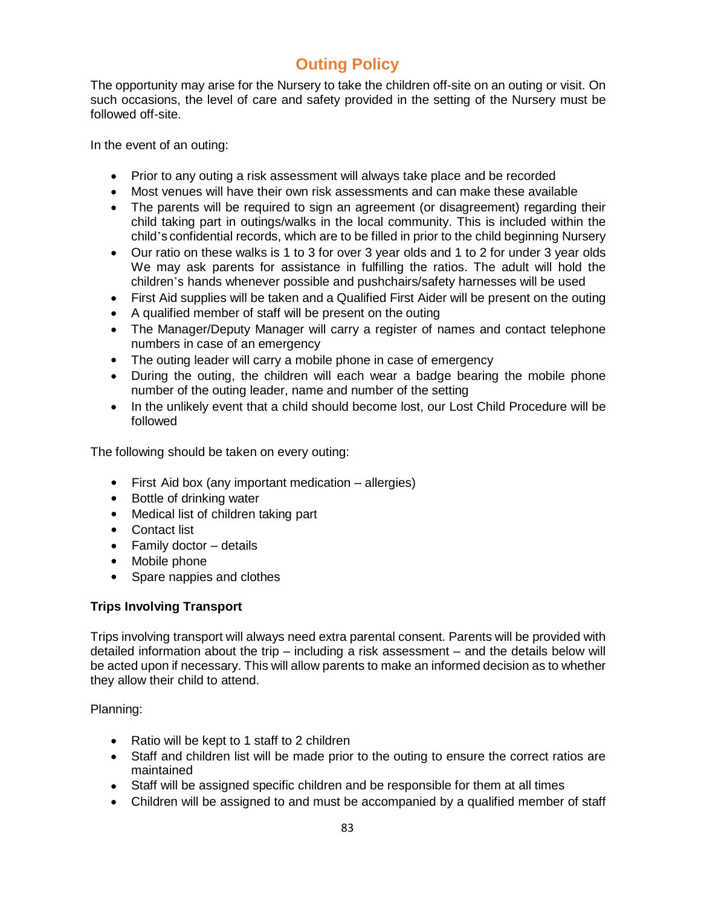## **Outing Policy**

The opportunity may arise for the Nursery to take the children off-site on an outing or visit. On such occasions, the level of care and safety provided in the setting of the Nursery must be followed off-site.

In the event of an outing:

- Prior to any outing a risk assessment will always take place and be recorded
- Most venues will have their own risk assessments and can make these available
- The parents will be required to sign an agreement (or disagreement) regarding their child taking part in outings/walks in the local community. This is included within the child's confidential records, which are to be filled in prior to the child beginning Nursery
- Our ratio on these walks is 1 to 3 for over 3 year olds and 1 to 2 for under 3 year olds We may ask parents for assistance in fulfilling the ratios. The adult will hold the children's hands whenever possible and pushchairs/safety harnesses will be used
- First Aid supplies will be taken and a Qualified First Aider will be present on the outing
- A qualified member of staff will be present on the outing
- The Manager/Deputy Manager will carry a register of names and contact telephone numbers in case of an emergency
- The outing leader will carry a mobile phone in case of emergency
- During the outing, the children will each wear a badge bearing the mobile phone number of the outing leader, name and number of the setting
- In the unlikely event that a child should become lost, our Lost Child Procedure will be followed

The following should be taken on every outing:

- First Aid box (any important medication allergies)
- Bottle of drinking water
- Medical list of children taking part
- Contact list
- $\bullet$  Family doctor details
- Mobile phone
- Spare nappies and clothes

## **Trips Involving Transport**

Trips involving transport will always need extra parental consent. Parents will be provided with detailed information about the trip – including a risk assessment – and the details below will be acted upon if necessary. This will allow parents to make an informed decision as to whether they allow their child to attend.

Planning:

- Ratio will be kept to 1 staff to 2 children
- Staff and children list will be made prior to the outing to ensure the correct ratios are maintained
- Staff will be assigned specific children and be responsible for them at all times
- Children will be assigned to and must be accompanied by a qualified member of staff